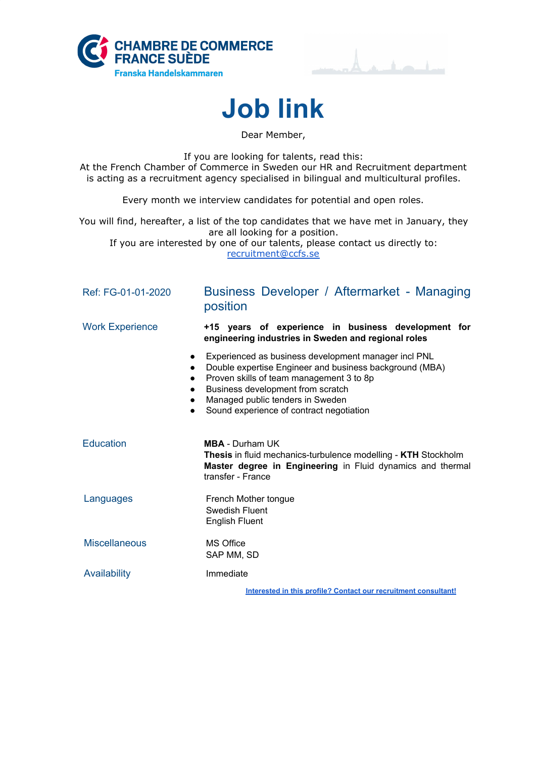





Dear Member,

If you are looking for talents, read this: At the French Chamber of Commerce in Sweden our HR and Recruitment department is acting as a recruitment agency specialised in bilingual and multicultural profiles.

Every month we interview candidates for potential and open roles.

You will find, hereafter, a list of the top candidates that we have met in January, they are all looking for a position.

If you are interested by one of our talents, please contact us directly to: [recruitment@ccfs.se](mailto:recruitment@ccfs.se)

| Ref: FG-01-01-2020                               | Business Developer / Aftermarket - Managing<br>position                                                                                                                                                                                                                          |  |  |  |
|--------------------------------------------------|----------------------------------------------------------------------------------------------------------------------------------------------------------------------------------------------------------------------------------------------------------------------------------|--|--|--|
| <b>Work Experience</b>                           | +15 years of experience in business development for<br>engineering industries in Sweden and regional roles                                                                                                                                                                       |  |  |  |
| $\bullet$<br>$\bullet$<br>$\bullet$<br>$\bullet$ | Experienced as business development manager incl PNL<br>Double expertise Engineer and business background (MBA)<br>Proven skills of team management 3 to 8p<br>Business development from scratch<br>Managed public tenders in Sweden<br>Sound experience of contract negotiation |  |  |  |
| <b>Education</b>                                 | <b>MBA</b> - Durham UK<br><b>Thesis</b> in fluid mechanics-turbulence modelling - <b>KTH</b> Stockholm<br>Master degree in Engineering in Fluid dynamics and thermal<br>transfer - France                                                                                        |  |  |  |
| Languages                                        | French Mother tongue<br>Swedish Fluent<br><b>English Fluent</b>                                                                                                                                                                                                                  |  |  |  |
| <b>Miscellaneous</b>                             | MS Office<br>SAP MM, SD                                                                                                                                                                                                                                                          |  |  |  |
| Availability                                     | Immediate                                                                                                                                                                                                                                                                        |  |  |  |
|                                                  | Interested in this profile? Contact our recruitment consultant!                                                                                                                                                                                                                  |  |  |  |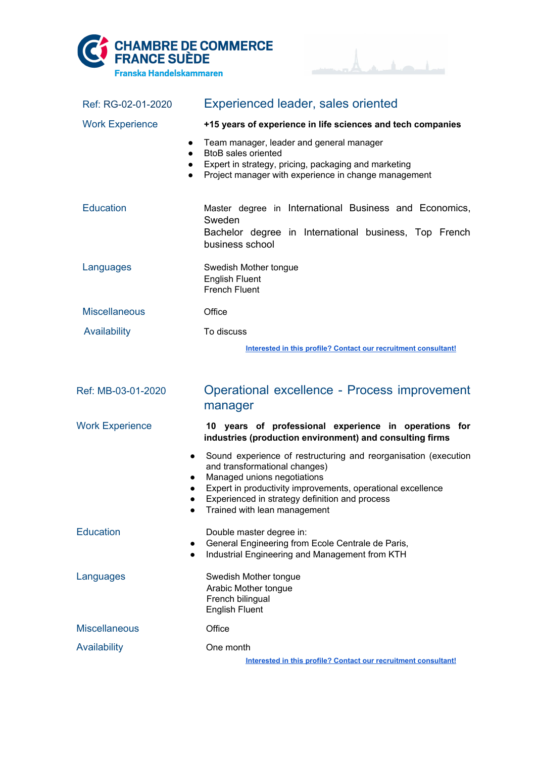



| Ref: RG-02-01-2020     | <b>Experienced leader, sales oriented</b>                                                                                                                                                                                                                                        |  |  |  |
|------------------------|----------------------------------------------------------------------------------------------------------------------------------------------------------------------------------------------------------------------------------------------------------------------------------|--|--|--|
| <b>Work Experience</b> | +15 years of experience in life sciences and tech companies                                                                                                                                                                                                                      |  |  |  |
|                        | Team manager, leader and general manager<br>$\bullet$<br><b>BtoB</b> sales oriented<br>$\bullet$<br>Expert in strategy, pricing, packaging and marketing<br>Project manager with experience in change management                                                                 |  |  |  |
| <b>Education</b>       | Master degree in International Business and Economics,<br>Sweden<br>Bachelor degree in International business, Top French<br>business school                                                                                                                                     |  |  |  |
| Languages              | Swedish Mother tongue<br><b>English Fluent</b><br><b>French Fluent</b>                                                                                                                                                                                                           |  |  |  |
| <b>Miscellaneous</b>   | Office                                                                                                                                                                                                                                                                           |  |  |  |
| Availability           | To discuss                                                                                                                                                                                                                                                                       |  |  |  |
|                        | Interested in this profile? Contact our recruitment consultant!                                                                                                                                                                                                                  |  |  |  |
|                        |                                                                                                                                                                                                                                                                                  |  |  |  |
| Ref: MB-03-01-2020     | Operational excellence - Process improvement<br>manager                                                                                                                                                                                                                          |  |  |  |
| <b>Work Experience</b> | 10 years of professional experience in operations for<br>industries (production environment) and consulting firms                                                                                                                                                                |  |  |  |
|                        | Sound experience of restructuring and reorganisation (execution<br>and transformational changes)<br>Managed unions negotiations<br>Expert in productivity improvements, operational excellence<br>Experienced in strategy definition and process<br>Trained with lean management |  |  |  |
| <b>Education</b>       | Double master degree in:<br>General Engineering from Ecole Centrale de Paris,<br>Industrial Engineering and Management from KTH<br>$\bullet$                                                                                                                                     |  |  |  |
| Languages              | Swedish Mother tongue<br>Arabic Mother tongue<br>French bilingual<br><b>English Fluent</b>                                                                                                                                                                                       |  |  |  |
| <b>Miscellaneous</b>   | Office                                                                                                                                                                                                                                                                           |  |  |  |
| <b>Availability</b>    | One month                                                                                                                                                                                                                                                                        |  |  |  |
|                        | Interested in this profile? Contact our recruitment consultant!                                                                                                                                                                                                                  |  |  |  |